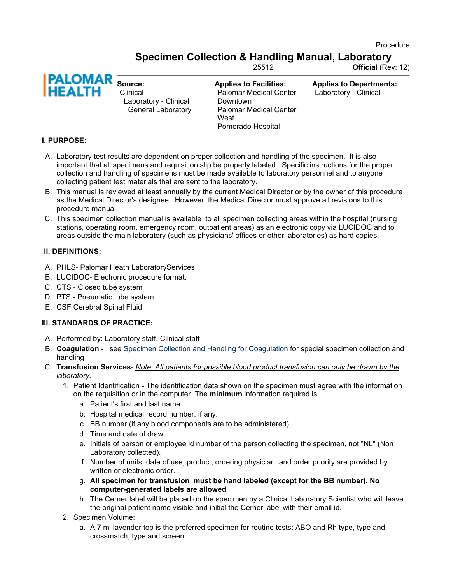Procedure

Specimen Collection & Handling Manual, Laboratory

25512 Official (Rev: 12)



Clinical Laboratory - Clinical General Laboratory Applies to Facilities: Palomar Medical Center Downtown Palomar Medical Center **West** Pomerado Hospital

Applies to Departments: Laboratory - Clinical

# I. PURPOSE:

- A. Laboratory test results are dependent on proper collection and handling of the specimen. It is also important that all specimens and requisition slip be properly labeled. Specific instructions for the proper collection and handling of specimens must be made available to laboratory personnel and to anyone collecting patient test materials that are sent to the laboratory.
- B. This manual is reviewed at least annually by the current Medical Director or by the owner of this procedure as the Medical Director's designee. However, the Medical Director must approve all revisions to this procedure manual.
- C. This specimen collection manual is available to all specimen collecting areas within the hospital (nursing stations, operating room, emergency room, outpatient areas) as an electronic copy via LUCIDOC and to areas outside the main laboratory (such as physicians' offices or other laboratories) as hard copies.

# II. DEFINITIONS:

- A. PHLS- Palomar Heath LaboratoryServices
- B. LUCIDOC- Electronic procedure format.
- C. CTS Closed tube system
- D. PTS Pneumatic tube system
- E. CSF Cerebral Spinal Fluid

### III. STANDARDS OF PRACTICE:

- A. Performed by: Laboratory staff, Clinical staff
- B. Coagulation see Specimen Collection and Handling for Coagulation for special specimen collection and handling
- C. Transfusion Services- Note: All patients for possible blood product transfusion can only be drawn by the laboratory.
	- 1. Patient Identification The identification data shown on the specimen must agree with the information on the requisition or in the computer. The minimum information required is:
		- a. Patient's first and last name.
		- b. Hospital medical record number, if any.
		- c. BB number (if any blood components are to be administered).
		- d. Time and date of draw.
		- e. Initials of person or employee id number of the person collecting the specimen, not "NL" (Non Laboratory collected).
		- f. Number of units, date of use, product, ordering physician, and order priority are provided by written or electronic order.
		- g. All specimen for transfusion must be hand labeled (except for the BB number). No computer-generated labels are allowed
		- h. The Cerner label will be placed on the specimen by a Clinical Laboratory Scientist who will leave the original patient name visible and initial the Cerner label with their email id.
	- 2. Specimen Volume:
		- a. A 7 ml lavender top is the preferred specimen for routine tests: ABO and Rh type, type and crossmatch, type and screen.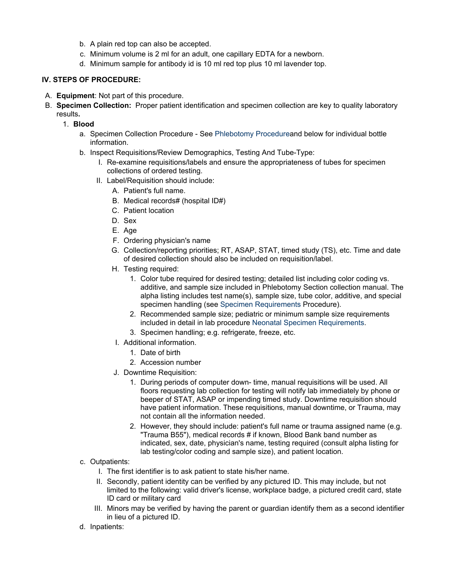- b. A plain red top can also be accepted.
- c. Minimum volume is 2 ml for an adult, one capillary EDTA for a newborn.
- d. Minimum sample for antibody id is 10 ml red top plus 10 ml lavender top.

# IV. STEPS OF PROCEDURE:

- A. Equipment: Not part of this procedure.
- B. Specimen Collection: Proper patient identification and specimen collection are key to quality laboratory results.
	- 1. Blood
		- a. Specimen Collection Procedure See Phlebotomy Procedure and below for individual bottle information.
		- b. Inspect Requisitions/Review Demographics, Testing And Tube-Type:
			- I. Re-examine requisitions/labels and ensure the appropriateness of tubes for specimen collections of ordered testing.
			- II. Label/Requisition should include:
				- A. Patient's full name.
				- B. Medical records# (hospital ID#)
				- C. Patient location
				- D. Sex
				- E. Age
				- F. Ordering physician's name
				- G. Collection/reporting priorities; RT, ASAP, STAT, timed study (TS), etc. Time and date of desired collection should also be included on requisition/label.
				- H. Testing required:
					- 1. Color tube required for desired testing; detailed list including color coding vs. additive, and sample size included in Phlebotomy Section collection manual. The alpha listing includes test name(s), sample size, tube color, additive, and special specimen handling (see Specimen Requirements Procedure).
					- 2. Recommended sample size; pediatric or minimum sample size requirements included in detail in lab procedure Neonatal Specimen Requirements.
					- 3. Specimen handling; e.g. refrigerate, freeze, etc.
				- I. Additional information.
					- 1. Date of birth
					- 2. Accession number
				- J. Downtime Requisition:
					- 1. During periods of computer down- time, manual requisitions will be used. All floors requesting lab collection for testing will notify lab immediately by phone or beeper of STAT, ASAP or impending timed study. Downtime requisition should have patient information. These requisitions, manual downtime, or Trauma, may not contain all the information needed.
					- 2. However, they should include: patient's full name or trauma assigned name (e.g. "Trauma B55"), medical records # if known, Blood Bank band number as indicated, sex, date, physician's name, testing required (consult alpha listing for lab testing/color coding and sample size), and patient location.

### c. Outpatients:

- I. The first identifier is to ask patient to state his/her name.
- II. Secondly, patient identity can be verified by any pictured ID. This may include, but not limited to the following: valid driver's license, workplace badge, a pictured credit card, state ID card or military card
- III. Minors may be verified by having the parent or guardian identify them as a second identifier in lieu of a pictured ID.
- d. Inpatients: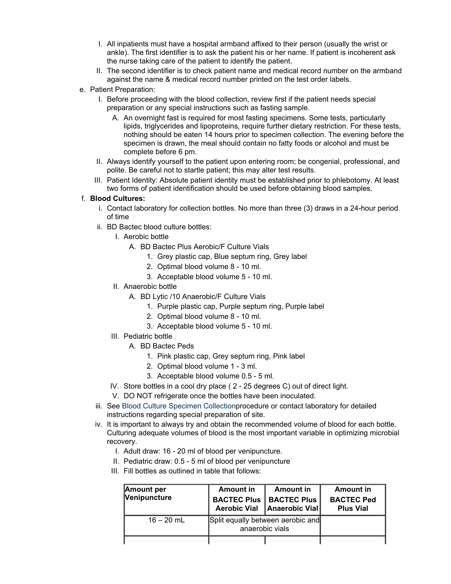- I. All inpatients must have a hospital armband affixed to their person (usually the wrist or ankle). The first identifier is to ask the patient his or her name. If patient is incoherent ask the nurse taking care of the patient to identify the patient.
- II. The second identifier is to check patient name and medical record number on the armband against the name & medical record number printed on the test order labels.
- e. Patient Preparation:
	- I. Before proceeding with the blood collection, review first if the patient needs special preparation or any special instructions such as fasting sample.
		- A. An overnight fast is required for most fasting specimens. Some tests, particularly lipids, triglycerides and lipoproteins, require further dietary restriction. For these tests, nothing should be eaten 14 hours prior to specimen collection. The evening before the specimen is drawn, the meal should contain no fatty foods or alcohol and must be complete before 6 pm.
	- II. Always identify yourself to the patient upon entering room; be congenial, professional, and polite. Be careful not to startle patient; this may alter test results.
	- III. Patient Identity: Absolute patient identity must be established prior to phlebotomy. At least two forms of patient identification should be used before obtaining blood samples.

#### f. Blood Cultures:

- i. Contact laboratory for collection bottles. No more than three (3) draws in a 24-hour period of time
- ii. BD Bactec blood culture bottles:
	- I. Aerobic bottle
		- A. BD Bactec Plus Aerobic/F Culture Vials
			- 1. Grey plastic cap, Blue septum ring, Grey label
			- 2. Optimal blood volume 8 10 ml.
			- 3. Acceptable blood volume 5 10 ml.
	- II. Anaerobic bottle
		- A. BD Lytic /10 Anaerobic/F Culture Vials
			- 1. Purple plastic cap, Purple septum ring, Purple label
			- 2. Optimal blood volume 8 10 ml.
			- 3. Acceptable blood volume 5 10 ml.
	- III. Pediatric bottle
		- A. BD Bactec Peds
			- 1. Pink plastic cap, Grey septum ring, Pink label
			- 2. Optimal blood volume 1 3 ml.
			- 3. Acceptable blood volume 0.5 5 ml.
	- IV. Store bottles in a cool dry place ( 2 25 degrees C) out of direct light.
	- V. DO NOT refrigerate once the bottles have been inoculated.
- iii. See Blood Culture Specimen Collection procedure or contact laboratory for detailed instructions regarding special preparation of site.
- iv. It is important to always try and obtain the recommended volume of blood for each bottle. Culturing adequate volumes of blood is the most important variable in optimizing microbial recovery.
	- I. Adult draw: 16 20 ml of blood per venipuncture.
	- II. Pediatric draw: 0.5 5 ml of blood per venipuncture
	- III. Fill bottles as outlined in table that follows:

| <b>Amount per</b><br>Venipuncture | Amount in<br><b>BACTEC Plus</b><br><b>Aerobic Vial</b> | Amount in<br><b>BACTEC Plus</b><br>Anaerobic Vial | <b>Amount in</b><br><b>BACTEC Ped</b><br><b>Plus Vial</b> |
|-----------------------------------|--------------------------------------------------------|---------------------------------------------------|-----------------------------------------------------------|
| $16 - 20$ mL                      | Split equally between aerobic and<br>anaerobic vials   |                                                   |                                                           |
|                                   |                                                        |                                                   |                                                           |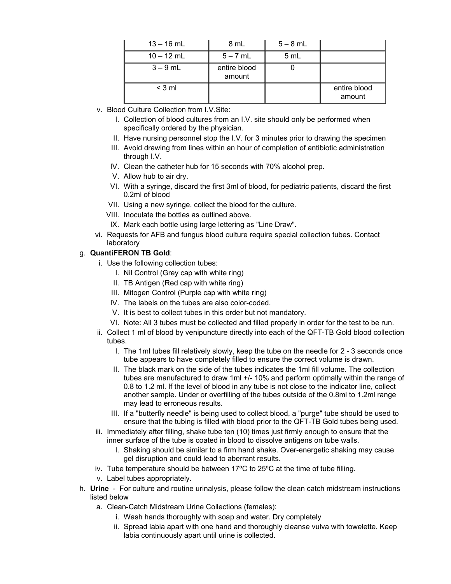| $13 - 16$ mL | 8 mL                   | $5 - 8$ mL |                        |
|--------------|------------------------|------------|------------------------|
| $10 - 12$ mL | $5 - 7$ mL             | 5 mL       |                        |
| $3 - 9$ mL   | entire blood<br>amount |            |                        |
| $<$ 3 ml     |                        |            | entire blood<br>amount |

- v. Blood Culture Collection from I.V.Site:
	- I. Collection of blood cultures from an I.V. site should only be performed when specifically ordered by the physician.
	- II. Have nursing personnel stop the I.V. for 3 minutes prior to drawing the specimen
	- III. Avoid drawing from lines within an hour of completion of antibiotic administration through I.V.
	- IV. Clean the catheter hub for 15 seconds with 70% alcohol prep.
	- V. Allow hub to air dry.
	- VI. With a syringe, discard the first 3ml of blood, for pediatric patients, discard the first 0.2ml of blood
	- VII. Using a new syringe, collect the blood for the culture.
	- VIII. Inoculate the bottles as outlined above.
	- IX. Mark each bottle using large lettering as "Line Draw".
- vi. Requests for AFB and fungus blood culture require special collection tubes. Contact laboratory

#### g. QuantiFERON TB Gold:

- i. Use the following collection tubes:
	- I. Nil Control (Grey cap with white ring)
	- II. TB Antigen (Red cap with white ring)
	- III. Mitogen Control (Purple cap with white ring)
	- IV. The labels on the tubes are also color-coded.
	- V. It is best to collect tubes in this order but not mandatory.
	- VI. Note: All 3 tubes must be collected and filled properly in order for the test to be run.
- ii. Collect 1 ml of blood by venipuncture directly into each of the QFT-TB Gold blood collection tubes.
	- I. The 1ml tubes fill relatively slowly, keep the tube on the needle for 2 3 seconds once tube appears to have completely filled to ensure the correct volume is drawn.
	- II. The black mark on the side of the tubes indicates the 1ml fill volume. The collection tubes are manufactured to draw 1ml +/- 10% and perform optimally within the range of 0.8 to 1.2 ml. If the level of blood in any tube is not close to the indicator line, collect another sample. Under or overfilling of the tubes outside of the 0.8ml to 1.2ml range may lead to erroneous results.
	- III. If a "butterfly needle" is being used to collect blood, a "purge" tube should be used to ensure that the tubing is filled with blood prior to the QFT-TB Gold tubes being used.
- iii. Immediately after filling, shake tube ten (10) times just firmly enough to ensure that the inner surface of the tube is coated in blood to dissolve antigens on tube walls.
	- I. Shaking should be similar to a firm hand shake. Over-energetic shaking may cause gel disruption and could lead to aberrant results.
- iv. Tube temperature should be between 17ºC to 25ºC at the time of tube filling.
- v. Label tubes appropriately.
- h. **Urine** For culture and routine urinalysis, please follow the clean catch midstream instructions listed below
	- a. Clean-Catch Midstream Urine Collections (females):
		- i. Wash hands thoroughly with soap and water. Dry completely
		- ii. Spread labia apart with one hand and thoroughly cleanse vulva with towelette. Keep labia continuously apart until urine is collected.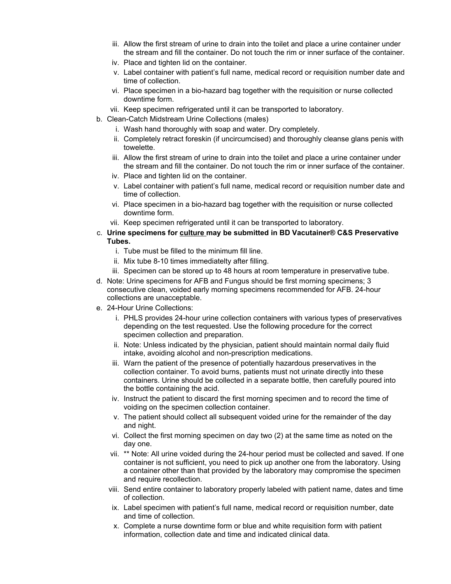- iii. Allow the first stream of urine to drain into the toilet and place a urine container under the stream and fill the container. Do not touch the rim or inner surface of the container.
- iv. Place and tighten lid on the container.
- v. Label container with patient's full name, medical record or requisition number date and time of collection.
- vi. Place specimen in a bio-hazard bag together with the requisition or nurse collected downtime form.
- vii. Keep specimen refrigerated until it can be transported to laboratory.
- b. Clean-Catch Midstream Urine Collections (males)
	- i. Wash hand thoroughly with soap and water. Dry completely.
	- ii. Completely retract foreskin (if uncircumcised) and thoroughly cleanse glans penis with towelette.
	- iii. Allow the first stream of urine to drain into the toilet and place a urine container under the stream and fill the container. Do not touch the rim or inner surface of the container.
	- iv. Place and tighten lid on the container.
	- v. Label container with patient's full name, medical record or requisition number date and time of collection.
	- vi. Place specimen in a bio-hazard bag together with the requisition or nurse collected downtime form.
	- vii. Keep specimen refrigerated until it can be transported to laboratory.
- c. Urine specimens for culture may be submitted in BD Vacutainer® C&S Preservative Tubes.
	- i. Tube must be filled to the minimum fill line.
	- ii. Mix tube 8-10 times immediatelty after filling.
	- iii. Specimen can be stored up to 48 hours at room temperature in preservative tube.
- d. Note: Urine specimens for AFB and Fungus should be first morning specimens; 3 consecutive clean, voided early morning specimens recommended for AFB. 24-hour collections are unacceptable.
- e. 24-Hour Urine Collections:
	- i. PHLS provides 24-hour urine collection containers with various types of preservatives depending on the test requested. Use the following procedure for the correct specimen collection and preparation.
	- ii. Note: Unless indicated by the physician, patient should maintain normal daily fluid intake, avoiding alcohol and non-prescription medications.
	- iii. Warn the patient of the presence of potentially hazardous preservatives in the collection container. To avoid burns, patients must not urinate directly into these containers. Urine should be collected in a separate bottle, then carefully poured into the bottle containing the acid.
	- iv. Instruct the patient to discard the first morning specimen and to record the time of voiding on the specimen collection container.
	- v. The patient should collect all subsequent voided urine for the remainder of the day and night.
	- vi. Collect the first morning specimen on day two (2) at the same time as noted on the day one.
	- vii. \*\* Note: All urine voided during the 24-hour period must be collected and saved. If one container is not sufficient, you need to pick up another one from the laboratory. Using a container other than that provided by the laboratory may compromise the specimen and require recollection.
	- viii. Send entire container to laboratory properly labeled with patient name, dates and time of collection.
	- ix. Label specimen with patient's full name, medical record or requisition number, date and time of collection.
	- x. Complete a nurse downtime form or blue and white requisition form with patient information, collection date and time and indicated clinical data.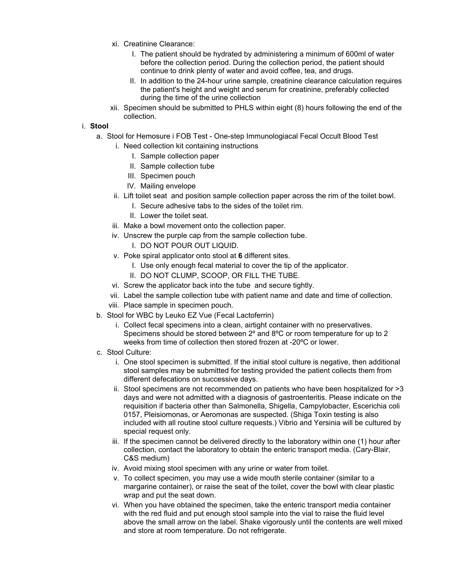- xi. Creatinine Clearance:
	- I. The patient should be hydrated by administering a minimum of 600ml of water before the collection period. During the collection period, the patient should continue to drink plenty of water and avoid coffee, tea, and drugs.
	- II. In addition to the 24-hour urine sample, creatinine clearance calculation requires the patient's height and weight and serum for creatinine, preferably collected during the time of the urine collection
- xii. Specimen should be submitted to PHLS within eight (8) hours following the end of the collection.

### i. Stool

- a. Stool for Hemosure i FOB Test One-step Immunologiacal Fecal Occult Blood Test
	- i. Need collection kit containing instructions
		- I. Sample collection paper
		- II. Sample collection tube
		- III. Specimen pouch
		- IV. Mailing envelope
	- ii. Lift toilet seat and position sample collection paper across the rim of the toilet bowl.
		- I. Secure adhesive tabs to the sides of the toilet rim.
		- II. Lower the toilet seat.
	- iii. Make a bowl movement onto the collection paper.
	- iv. Unscrew the purple cap from the sample collection tube.
		- I. DO NOT POUR OUT LIQUID.
	- v. Poke spiral applicator onto stool at 6 different sites.
		- I. Use only enough fecal material to cover the tip of the applicator.
		- II. DO NOT CLUMP, SCOOP, OR FILL THE TUBE.
	- vi. Screw the applicator back into the tube and secure tightly.
	- vii. Label the sample collection tube with patient name and date and time of collection.
	- viii. Place sample in specimen pouch.
- b. Stool for WBC by Leuko EZ Vue (Fecal Lactoferrin)
	- i. Collect fecal specimens into a clean, airtight container with no preservatives. Specimens should be stored between 2º and 8ºC or room temperature for up to 2 weeks from time of collection then stored frozen at -20ºC or lower.
- c. Stool Culture:
	- i. One stool specimen is submitted. If the initial stool culture is negative, then additional stool samples may be submitted for testing provided the patient collects them from different defecations on successive days.
	- ii. Stool specimens are not recommended on patients who have been hospitalized for >3 days and were not admitted with a diagnosis of gastroenteritis. Please indicate on the requisition if bacteria other than Salmonella, Shigella, Campylobacter, Escerichia coli 0157, Pleisiomonas, or Aeromonas are suspected. (Shiga Toxin testing is also included with all routine stool culture requests.) Vibrio and Yersinia will be cultured by special request only.
	- iii. If the specimen cannot be delivered directly to the laboratory within one (1) hour after collection, contact the laboratory to obtain the enteric transport media. (Cary-Blair, C&S medium)
	- iv. Avoid mixing stool specimen with any urine or water from toilet.
	- v. To collect specimen, you may use a wide mouth sterile container (similar to a margarine container), or raise the seat of the toilet, cover the bowl with clear plastic wrap and put the seat down.
	- vi. When you have obtained the specimen, take the enteric transport media container with the red fluid and put enough stool sample into the vial to raise the fluid level above the small arrow on the label. Shake vigorously until the contents are well mixed and store at room temperature. Do not refrigerate.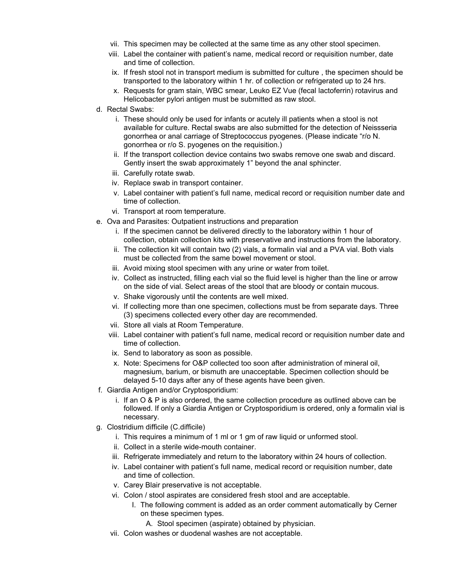- vii. This specimen may be collected at the same time as any other stool specimen.
- viii. Label the container with patient's name, medical record or requisition number, date and time of collection.
- ix. If fresh stool not in transport medium is submitted for culture , the specimen should be transported to the laboratory within 1 hr. of collection or refrigerated up to 24 hrs.
- x. Requests for gram stain, WBC smear, Leuko EZ Vue (fecal lactoferrin) rotavirus and Helicobacter pylori antigen must be submitted as raw stool.
- d. Rectal Swabs:
	- i. These should only be used for infants or acutely ill patients when a stool is not available for culture. Rectal swabs are also submitted for the detection of Neissseria gonorrhea or anal carriage of Streptococcus pyogenes. (Please indicate "r/o N. gonorrhea or r/o S. pyogenes on the requisition.)
	- ii. If the transport collection device contains two swabs remove one swab and discard. Gently insert the swab approximately 1" beyond the anal sphincter.
	- iii. Carefully rotate swab.
	- iv. Replace swab in transport container.
	- v. Label container with patient's full name, medical record or requisition number date and time of collection.
	- vi. Transport at room temperature.
- e. Ova and Parasites: Outpatient instructions and preparation
	- i. If the specimen cannot be delivered directly to the laboratory within 1 hour of collection, obtain collection kits with preservative and instructions from the laboratory.
	- ii. The collection kit will contain two (2) vials, a formalin vial and a PVA vial. Both vials must be collected from the same bowel movement or stool.
	- iii. Avoid mixing stool specimen with any urine or water from toilet.
	- iv. Collect as instructed, filling each vial so the fluid level is higher than the line or arrow on the side of vial. Select areas of the stool that are bloody or contain mucous.
	- v. Shake vigorously until the contents are well mixed.
	- vi. If collecting more than one specimen, collections must be from separate days. Three (3) specimens collected every other day are recommended.
	- vii. Store all vials at Room Temperature.
	- viii. Label container with patient's full name, medical record or requisition number date and time of collection.
	- ix. Send to laboratory as soon as possible.
	- x. Note: Specimens for O&P collected too soon after administration of mineral oil, magnesium, barium, or bismuth are unacceptable. Specimen collection should be delayed 5-10 days after any of these agents have been given.
- f. Giardia Antigen and/or Cryptosporidium:
	- i. If an O & P is also ordered, the same collection procedure as outlined above can be followed. If only a Giardia Antigen or Cryptosporidium is ordered, only a formalin vial is necessary.
- g. Clostridium difficile (C.difficile)
	- i. This requires a minimum of 1 ml or 1 gm of raw liquid or unformed stool.
	- ii. Collect in a sterile wide-mouth container.
	- iii. Refrigerate immediately and return to the laboratory within 24 hours of collection.
	- iv. Label container with patient's full name, medical record or requisition number, date and time of collection.
	- v. Carey Blair preservative is not acceptable.
	- vi. Colon / stool aspirates are considered fresh stool and are acceptable.
		- I. The following comment is added as an order comment automatically by Cerner on these specimen types.
			- A. Stool specimen (aspirate) obtained by physician.
	- vii. Colon washes or duodenal washes are not acceptable.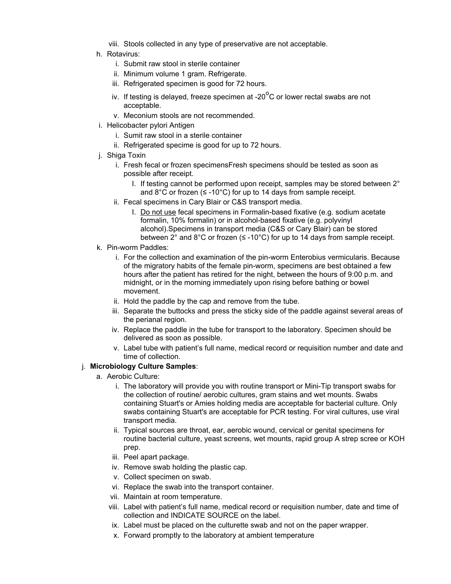- viii. Stools collected in any type of preservative are not acceptable.
- h. Rotavirus:
	- i. Submit raw stool in sterile container
	- ii. Minimum volume 1 gram. Refrigerate.
	- iii. Refrigerated specimen is good for 72 hours.
	- iv. If testing is delayed, freeze specimen at -20 $\mathrm{^0C}$  or lower rectal swabs are not acceptable.
	- v. Meconium stools are not recommended.
- i. Helicobacter pylori Antigen
	- i. Sumit raw stool in a sterile container
	- ii. Refrigerated specime is good for up to 72 hours.
- j. Shiga Toxin
	- i. Fresh fecal or frozen specimensFresh specimens should be tested as soon as possible after receipt.
		- I. If testing cannot be performed upon receipt, samples may be stored between 2° and  $8^{\circ}$ C or frozen ( $\leq$  -10°C) for up to 14 days from sample receipt.
	- ii. Fecal specimens in Cary Blair or C&S transport media.
		- I. Do not use fecal specimens in Formalin-based fixative (e.g. sodium acetate formalin, 10% formalin) or in alcohol-based fixative (e.g. polyvinyl alcohol).Specimens in transport media (C&S or Cary Blair) can be stored between 2° and 8°C or frozen ( $\leq$  -10°C) for up to 14 days from sample receipt.
- k. Pin-worm Paddles:
	- i. For the collection and examination of the pin-worm Enterobius vermicularis. Because of the migratory habits of the female pin-worm, specimens are best obtained a few hours after the patient has retired for the night, between the hours of 9:00 p.m. and midnight, or in the morning immediately upon rising before bathing or bowel movement.
	- ii. Hold the paddle by the cap and remove from the tube.
	- iii. Separate the buttocks and press the sticky side of the paddle against several areas of the perianal region.
	- iv. Replace the paddle in the tube for transport to the laboratory. Specimen should be delivered as soon as possible.
	- v. Label tube with patient's full name, medical record or requisition number and date and time of collection.

### j. Microbiology Culture Samples:

- a. Aerobic Culture:
	- i. The laboratory will provide you with routine transport or Mini-Tip transport swabs for the collection of routine/ aerobic cultures, gram stains and wet mounts. Swabs containing Stuart's or Amies holding media are acceptable for bacterial culture. Only swabs containing Stuart's are acceptable for PCR testing. For viral cultures, use viral transport media.
	- ii. Typical sources are throat, ear, aerobic wound, cervical or genital specimens for routine bacterial culture, yeast screens, wet mounts, rapid group A strep scree or KOH prep.
	- iii. Peel apart package.
	- iv. Remove swab holding the plastic cap.
	- v. Collect specimen on swab.
	- vi. Replace the swab into the transport container.
	- vii. Maintain at room temperature.
	- viii. Label with patient's full name, medical record or requisition number, date and time of collection and INDICATE SOURCE on the label.
	- ix. Label must be placed on the culturette swab and not on the paper wrapper.
	- x. Forward promptly to the laboratory at ambient temperature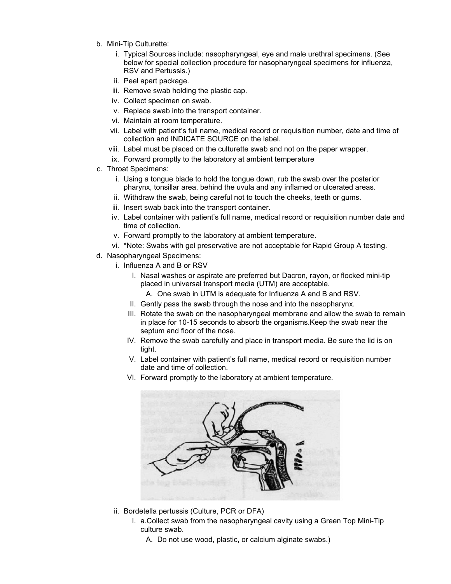- b. Mini-Tip Culturette:
	- i. Typical Sources include: nasopharyngeal, eye and male urethral specimens. (See below for special collection procedure for nasopharyngeal specimens for influenza, RSV and Pertussis.)
	- ii. Peel apart package.
	- iii. Remove swab holding the plastic cap.
	- iv. Collect specimen on swab.
	- v. Replace swab into the transport container.
	- vi. Maintain at room temperature.
	- vii. Label with patient's full name, medical record or requisition number, date and time of collection and INDICATE SOURCE on the label.
	- viii. Label must be placed on the culturette swab and not on the paper wrapper.
	- ix. Forward promptly to the laboratory at ambient temperature
- c. Throat Specimens:
	- i. Using a tongue blade to hold the tongue down, rub the swab over the posterior pharynx, tonsillar area, behind the uvula and any inflamed or ulcerated areas.
	- ii. Withdraw the swab, being careful not to touch the cheeks, teeth or gums.
	- iii. Insert swab back into the transport container.
	- iv. Label container with patient's full name, medical record or requisition number date and time of collection.
	- v. Forward promptly to the laboratory at ambient temperature.
	- vi. \*Note: Swabs with gel preservative are not acceptable for Rapid Group A testing.
- d. Nasopharyngeal Specimens:
	- i. Influenza A and B or RSV
		- I. Nasal washes or aspirate are preferred but Dacron, rayon, or flocked mini-tip placed in universal transport media (UTM) are acceptable.
			- A. One swab in UTM is adequate for Influenza A and B and RSV.
		- II. Gently pass the swab through the nose and into the nasopharynx.
		- III. Rotate the swab on the nasopharyngeal membrane and allow the swab to remain in place for 10-15 seconds to absorb the organisms.Keep the swab near the septum and floor of the nose.
		- IV. Remove the swab carefully and place in transport media. Be sure the lid is on tight.
		- V. Label container with patient's full name, medical record or requisition number date and time of collection.
		- VI. Forward promptly to the laboratory at ambient temperature.



- ii. Bordetella pertussis (Culture, PCR or DFA)
	- I. a.Collect swab from the nasopharyngeal cavity using a Green Top Mini-Tip culture swab.
		- A. Do not use wood, plastic, or calcium alginate swabs.)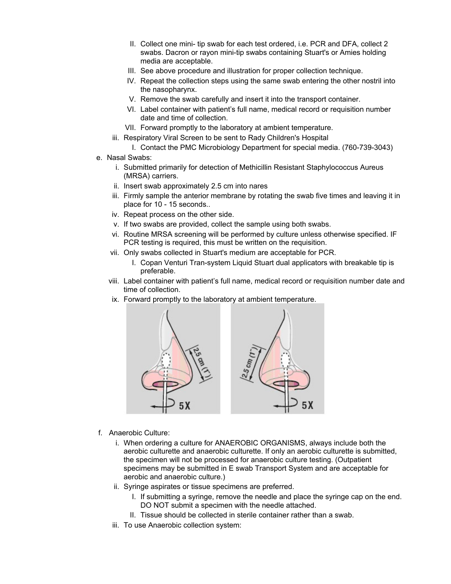- II. Collect one mini- tip swab for each test ordered, i.e. PCR and DFA, collect 2 swabs. Dacron or rayon mini-tip swabs containing Stuart's or Amies holding media are acceptable.
- III. See above procedure and illustration for proper collection technique.
- IV. Repeat the collection steps using the same swab entering the other nostril into the nasopharynx.
- V. Remove the swab carefully and insert it into the transport container.
- VI. Label container with patient's full name, medical record or requisition number date and time of collection.
- VII. Forward promptly to the laboratory at ambient temperature.
- iii. Respiratory Viral Screen to be sent to Rady Children's Hospital
	- I. Contact the PMC Microbiology Department for special media. (760-739-3043)
- e. Nasal Swabs:
	- i. Submitted primarily for detection of Methicillin Resistant Staphylococcus Aureus (MRSA) carriers.
	- ii. Insert swab approximately 2.5 cm into nares
	- iii. Firmly sample the anterior membrane by rotating the swab five times and leaving it in place for 10 - 15 seconds..
	- iv. Repeat process on the other side.
	- v. If two swabs are provided, collect the sample using both swabs.
	- vi. Routine MRSA screening will be performed by culture unless otherwise specified. IF PCR testing is required, this must be written on the requisition.
	- vii. Only swabs collected in Stuart's medium are acceptable for PCR.
		- I. Copan Venturi Tran-system Liquid Stuart dual applicators with breakable tip is preferable.
	- viii. Label container with patient's full name, medical record or requisition number date and time of collection.
	- ix. Forward promptly to the laboratory at ambient temperature.



- f. Anaerobic Culture:
	- i. When ordering a culture for ANAEROBIC ORGANISMS, always include both the aerobic culturette and anaerobic culturette. If only an aerobic culturette is submitted, the specimen will not be processed for anaerobic culture testing. (Outpatient specimens may be submitted in E swab Transport System and are acceptable for aerobic and anaerobic culture.)
	- ii. Syringe aspirates or tissue specimens are preferred.
		- I. If submitting a syringe, remove the needle and place the syringe cap on the end. DO NOT submit a specimen with the needle attached.
		- II. Tissue should be collected in sterile container rather than a swab.
	- iii. To use Anaerobic collection system: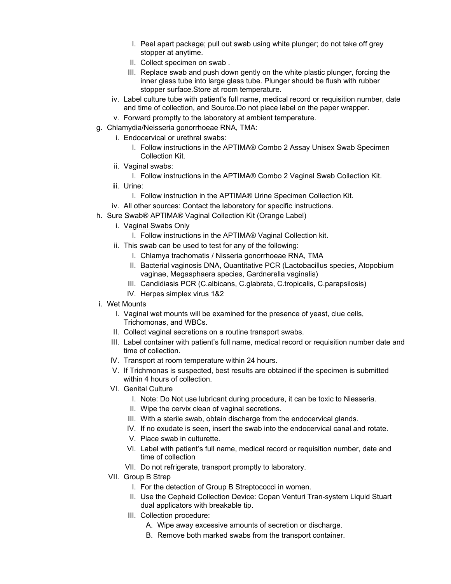- I. Peel apart package; pull out swab using white plunger; do not take off grey stopper at anytime.
- II. Collect specimen on swab .
- III. Replace swab and push down gently on the white plastic plunger, forcing the inner glass tube into large glass tube. Plunger should be flush with rubber stopper surface.Store at room temperature.
- iv. Label culture tube with patient's full name, medical record or requisition number, date and time of collection, and Source.Do not place label on the paper wrapper.
- v. Forward promptly to the laboratory at ambient temperature.
- g. Chlamydia/Neisseria gonorrhoeae RNA, TMA:
	- i. Endocervical or urethral swabs:
		- I. Follow instructions in the APTIMA® Combo 2 Assay Unisex Swab Specimen Collection Kit.
	- ii. Vaginal swabs:
		- I. Follow instructions in the APTIMA® Combo 2 Vaginal Swab Collection Kit.
	- iii. Urine:
		- I. Follow instruction in the APTIMA® Urine Specimen Collection Kit.
- iv. All other sources: Contact the laboratory for specific instructions.
- h. Sure Swab® APTIMA® Vaginal Collection Kit (Orange Label)
	- i. Vaginal Swabs Only
		- I. Follow instructions in the APTIMA® Vaginal Collection kit.
	- ii. This swab can be used to test for any of the following:
		- I. Chlamya trachomatis / Nisseria gonorrhoeae RNA, TMA
		- II. Bacterial vaginosis DNA, Quantitative PCR (Lactobacillus species, Atopobium vaginae, Megasphaera species, Gardnerella vaginalis)
		- III. Candidiasis PCR (C.albicans, C.glabrata, C.tropicalis, C.parapsilosis)
		- IV. Herpes simplex virus 1&2
- i. Wet Mounts
	- I. Vaginal wet mounts will be examined for the presence of yeast, clue cells, Trichomonas, and WBCs.
	- II. Collect vaginal secretions on a routine transport swabs.
	- III. Label container with patient's full name, medical record or requisition number date and time of collection.
	- IV. Transport at room temperature within 24 hours.
	- V. If Trichmonas is suspected, best results are obtained if the specimen is submitted within 4 hours of collection.
	- VI. Genital Culture
		- I. Note: Do Not use lubricant during procedure, it can be toxic to Niesseria.
		- II. Wipe the cervix clean of vaginal secretions.
		- III. With a sterile swab, obtain discharge from the endocervical glands.
		- IV. If no exudate is seen, insert the swab into the endocervical canal and rotate.
		- V. Place swab in culturette.
		- VI. Label with patient's full name, medical record or requisition number, date and time of collection
		- VII. Do not refrigerate, transport promptly to laboratory.
	- VII. Group B Strep
		- I. For the detection of Group B Streptococci in women.
		- II. Use the Cepheid Collection Device: Copan Venturi Tran-system Liquid Stuart dual applicators with breakable tip.
		- III. Collection procedure:
			- A. Wipe away excessive amounts of secretion or discharge.
			- B. Remove both marked swabs from the transport container.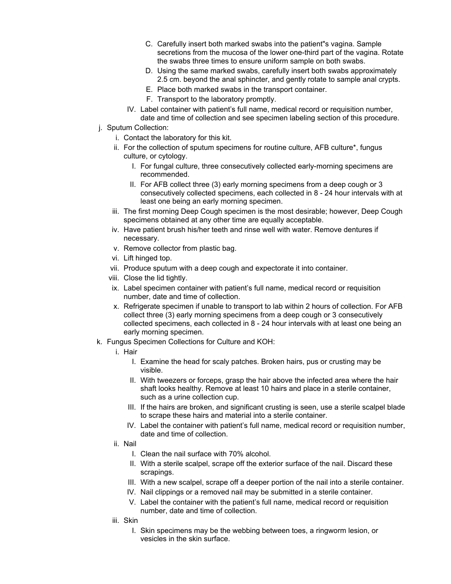- C. Carefully insert both marked swabs into the patient"s vagina. Sample secretions from the mucosa of the lower one-third part of the vagina. Rotate the swabs three times to ensure uniform sample on both swabs.
- D. Using the same marked swabs, carefully insert both swabs approximately 2.5 cm. beyond the anal sphincter, and gently rotate to sample anal crypts.
- E. Place both marked swabs in the transport container.
- F. Transport to the laboratory promptly.
- IV. Label container with patient's full name, medical record or requisition number, date and time of collection and see specimen labeling section of this procedure.
- j. Sputum Collection:
	- i. Contact the laboratory for this kit.
	- ii. For the collection of sputum specimens for routine culture, AFB culture\*, fungus culture, or cytology.
		- I. For fungal culture, three consecutively collected early-morning specimens are recommended.
		- II. For AFB collect three (3) early morning specimens from a deep cough or 3 consecutively collected specimens, each collected in 8 - 24 hour intervals with at least one being an early morning specimen.
	- iii. The first morning Deep Cough specimen is the most desirable; however, Deep Cough specimens obtained at any other time are equally acceptable.
	- iv. Have patient brush his/her teeth and rinse well with water. Remove dentures if necessary.
	- v. Remove collector from plastic bag.
	- vi. Lift hinged top.
	- vii. Produce sputum with a deep cough and expectorate it into container.
	- viii. Close the lid tightly.
	- ix. Label specimen container with patient's full name, medical record or requisition number, date and time of collection.
	- x. Refrigerate specimen if unable to transport to lab within 2 hours of collection. For AFB collect three (3) early morning specimens from a deep cough or 3 consecutively collected specimens, each collected in 8 - 24 hour intervals with at least one being an early morning specimen.
- k. Fungus Specimen Collections for Culture and KOH:
	- i. Hair
		- I. Examine the head for scaly patches. Broken hairs, pus or crusting may be visible.
		- II. With tweezers or forceps, grasp the hair above the infected area where the hair shaft looks healthy. Remove at least 10 hairs and place in a sterile container, such as a urine collection cup.
		- III. If the hairs are broken, and significant crusting is seen, use a sterile scalpel blade to scrape these hairs and material into a sterile container.
		- IV. Label the container with patient's full name, medical record or requisition number, date and time of collection.
	- ii. Nail
		- I. Clean the nail surface with 70% alcohol.
		- II. With a sterile scalpel, scrape off the exterior surface of the nail. Discard these scrapings.
		- III. With a new scalpel, scrape off a deeper portion of the nail into a sterile container.
		- IV. Nail clippings or a removed nail may be submitted in a sterile container.
		- V. Label the container with the patient's full name, medical record or requisition number, date and time of collection.
	- iii. Skin
		- I. Skin specimens may be the webbing between toes, a ringworm lesion, or vesicles in the skin surface.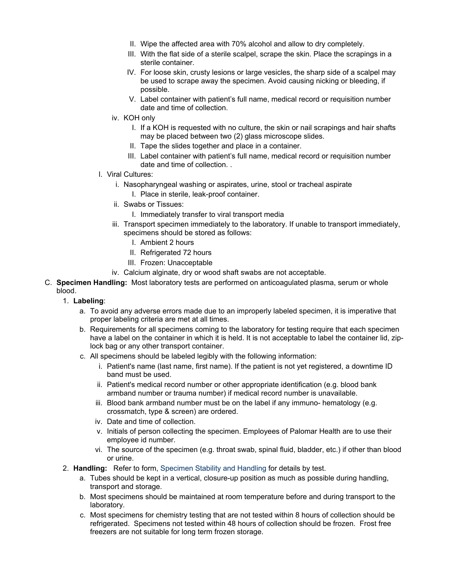- II. Wipe the affected area with 70% alcohol and allow to dry completely.
- III. With the flat side of a sterile scalpel, scrape the skin. Place the scrapings in a sterile container.
- IV. For loose skin, crusty lesions or large vesicles, the sharp side of a scalpel may be used to scrape away the specimen. Avoid causing nicking or bleeding, if possible.
- V. Label container with patient's full name, medical record or requisition number date and time of collection.
- iv. KOH only
	- I. If a KOH is requested with no culture, the skin or nail scrapings and hair shafts may be placed between two (2) glass microscope slides.
	- II. Tape the slides together and place in a container.
	- III. Label container with patient's full name, medical record or requisition number date and time of collection. .
- l. Viral Cultures:
	- i. Nasopharyngeal washing or aspirates, urine, stool or tracheal aspirate I. Place in sterile, leak-proof container.
	- ii. Swabs or Tissues:
		- I. Immediately transfer to viral transport media
	- iii. Transport specimen immediately to the laboratory. If unable to transport immediately, specimens should be stored as follows:
		- I. Ambient 2 hours
		- II. Refrigerated 72 hours
		- III. Frozen: Unacceptable
	- iv. Calcium alginate, dry or wood shaft swabs are not acceptable.
- C. Specimen Handling: Most laboratory tests are performed on anticoagulated plasma, serum or whole blood.
	- 1. Labeling:
		- a. To avoid any adverse errors made due to an improperly labeled specimen, it is imperative that proper labeling criteria are met at all times.
		- b. Requirements for all specimens coming to the laboratory for testing require that each specimen have a label on the container in which it is held. It is not acceptable to label the container lid, ziplock bag or any other transport container.
		- c. All specimens should be labeled legibly with the following information:
			- i. Patient's name (last name, first name). If the patient is not yet registered, a downtime ID band must be used.
			- ii. Patient's medical record number or other appropriate identification (e.g. blood bank armband number or trauma number) if medical record number is unavailable.
			- iii. Blood bank armband number must be on the label if any immuno- hematology (e.g. crossmatch, type & screen) are ordered.
			- iv. Date and time of collection.
			- v. Initials of person collecting the specimen. Employees of Palomar Health are to use their employee id number.
			- vi. The source of the specimen (e.g. throat swab, spinal fluid, bladder, etc.) if other than blood or urine.
	- 2. Handling: Refer to form, Specimen Stability and Handling for details by test.
		- a. Tubes should be kept in a vertical, closure-up position as much as possible during handling, transport and storage.
		- b. Most specimens should be maintained at room temperature before and during transport to the laboratory.
		- c. Most specimens for chemistry testing that are not tested within 8 hours of collection should be refrigerated. Specimens not tested within 48 hours of collection should be frozen. Frost free freezers are not suitable for long term frozen storage.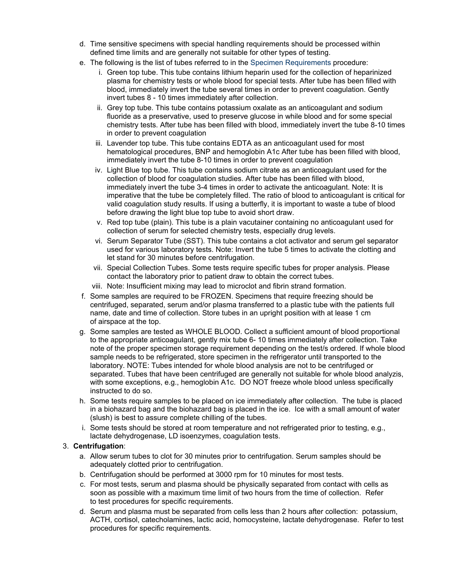- d. Time sensitive specimens with special handling requirements should be processed within defined time limits and are generally not suitable for other types of testing.
- e. The following is the list of tubes referred to in the Specimen Requirements procedure:
	- i. Green top tube. This tube contains lithium heparin used for the collection of heparinized plasma for chemistry tests or whole blood for special tests. After tube has been filled with blood, immediately invert the tube several times in order to prevent coagulation. Gently invert tubes 8 - 10 times immediately after collection.
	- ii. Grey top tube. This tube contains potassium oxalate as an anticoagulant and sodium fluoride as a preservative, used to preserve glucose in while blood and for some special chemistry tests. After tube has been filled with blood, immediately invert the tube 8-10 times in order to prevent coagulation
	- iii. Lavender top tube. This tube contains EDTA as an anticoagulant used for most hematological procedures, BNP and hemoglobin A1c After tube has been filled with blood, immediately invert the tube 8-10 times in order to prevent coagulation
	- iv. Light Blue top tube. This tube contains sodium citrate as an anticoagulant used for the collection of blood for coagulation studies. After tube has been filled with blood, immediately invert the tube 3-4 times in order to activate the anticoagulant. Note: It is imperative that the tube be completely filled. The ratio of blood to anticoagulant is critical for valid coagulation study results. If using a butterfly, it is important to waste a tube of blood before drawing the light blue top tube to avoid short draw.
	- v. Red top tube (plain). This tube is a plain vacutainer containing no anticoagulant used for collection of serum for selected chemistry tests, especially drug levels.
	- vi. Serum Separator Tube (SST). This tube contains a clot activator and serum gel separator used for various laboratory tests. Note: Invert the tube 5 times to activate the clotting and let stand for 30 minutes before centrifugation.
	- vii. Special Collection Tubes. Some tests require specific tubes for proper analysis. Please contact the laboratory prior to patient draw to obtain the correct tubes.
	- viii. Note: Insufficient mixing may lead to microclot and fibrin strand formation.
- f. Some samples are required to be FROZEN. Specimens that require freezing should be centrifuged, separated, serum and/or plasma transferred to a plastic tube with the patients full name, date and time of collection. Store tubes in an upright position with at lease 1 cm of airspace at the top.
- g. Some samples are tested as WHOLE BLOOD. Collect a sufficient amount of blood proportional to the appropriate anticoagulant, gently mix tube 6- 10 times immediately after collection. Take note of the proper specimen storage requirement depending on the test/s ordered. If whole blood sample needs to be refrigerated, store specimen in the refrigerator until transported to the laboratory. NOTE: Tubes intended for whole blood analysis are not to be centrifuged or separated. Tubes that have been centrifuged are generally not suitable for whole blood analyzis, with some exceptions, e.g., hemoglobin A1c. DO NOT freeze whole blood unless specifically instructed to do so.
- h. Some tests require samples to be placed on ice immediately after collection. The tube is placed in a biohazard bag and the biohazard bag is placed in the ice. Ice with a small amount of water (slush) is best to assure complete chilling of the tubes.
- i. Some tests should be stored at room temperature and not refrigerated prior to testing, e.g., lactate dehydrogenase, LD isoenzymes, coagulation tests.

### 3. Centrifugation:

- a. Allow serum tubes to clot for 30 minutes prior to centrifugation. Serum samples should be adequately clotted prior to centrifugation.
- b. Centrifugation should be performed at 3000 rpm for 10 minutes for most tests.
- c. For most tests, serum and plasma should be physically separated from contact with cells as soon as possible with a maximum time limit of two hours from the time of collection. Refer to test procedures for specific requirements.
- d. Serum and plasma must be separated from cells less than 2 hours after collection: potassium, ACTH, cortisol, catecholamines, lactic acid, homocysteine, lactate dehydrogenase. Refer to test procedures for specific requirements.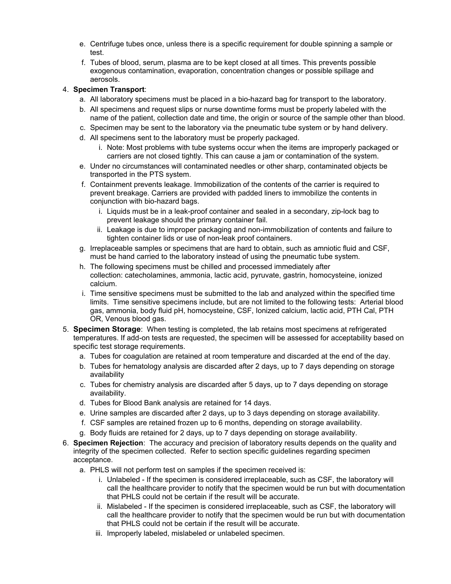- e. Centrifuge tubes once, unless there is a specific requirement for double spinning a sample or test.
- f. Tubes of blood, serum, plasma are to be kept closed at all times. This prevents possible exogenous contamination, evaporation, concentration changes or possible spillage and aerosols.

## 4. Specimen Transport:

- a. All laboratory specimens must be placed in a bio-hazard bag for transport to the laboratory.
- b. All specimens and request slips or nurse downtime forms must be properly labeled with the name of the patient, collection date and time, the origin or source of the sample other than blood.
- c. Specimen may be sent to the laboratory via the pneumatic tube system or by hand delivery.
- d. All specimens sent to the laboratory must be properly packaged.
	- i. Note: Most problems with tube systems occur when the items are improperly packaged or carriers are not closed tightly. This can cause a jam or contamination of the system.
- e. Under no circumstances will contaminated needles or other sharp, contaminated objects be transported in the PTS system.
- f. Containment prevents leakage. Immobilization of the contents of the carrier is required to prevent breakage. Carriers are provided with padded liners to immobilize the contents in conjunction with bio-hazard bags.
	- i. Liquids must be in a leak-proof container and sealed in a secondary, zip-lock bag to prevent leakage should the primary container fail.
	- ii. Leakage is due to improper packaging and non-immobilization of contents and failure to tighten container lids or use of non-leak proof containers.
- g. Irreplaceable samples or specimens that are hard to obtain, such as amniotic fluid and CSF, must be hand carried to the laboratory instead of using the pneumatic tube system.
- h. The following specimens must be chilled and processed immediately after collection: catecholamines, ammonia, lactic acid, pyruvate, gastrin, homocysteine, ionized calcium.
- i. Time sensitive specimens must be submitted to the lab and analyzed within the specified time limits. Time sensitive specimens include, but are not limited to the following tests: Arterial blood gas, ammonia, body fluid pH, homocysteine, CSF, Ionized calcium, lactic acid, PTH Cal, PTH OR, Venous blood gas.
- 5. Specimen Storage: When testing is completed, the lab retains most specimens at refrigerated temperatures. If add-on tests are requested, the specimen will be assessed for acceptability based on specific test storage requirements.
	- a. Tubes for coagulation are retained at room temperature and discarded at the end of the day.
	- b. Tubes for hematology analysis are discarded after 2 days, up to 7 days depending on storage availability
	- c. Tubes for chemistry analysis are discarded after 5 days, up to 7 days depending on storage availability.
	- d. Tubes for Blood Bank analysis are retained for 14 days.
	- e. Urine samples are discarded after 2 days, up to 3 days depending on storage availability.
	- f. CSF samples are retained frozen up to 6 months, depending on storage availability.
	- g. Body fluids are retained for 2 days, up to 7 days depending on storage availability.
- 6. Specimen Rejection: The accuracy and precision of laboratory results depends on the quality and integrity of the specimen collected. Refer to section specific guidelines regarding specimen acceptance.
	- a. PHLS will not perform test on samples if the specimen received is:
		- i. Unlabeled If the specimen is considered irreplaceable, such as CSF, the laboratory will call the healthcare provider to notify that the specimen would be run but with documentation that PHLS could not be certain if the result will be accurate.
		- ii. Mislabeled If the specimen is considered irreplaceable, such as CSF, the laboratory will call the healthcare provider to notify that the specimen would be run but with documentation that PHLS could not be certain if the result will be accurate.
		- iii. Improperly labeled, mislabeled or unlabeled specimen.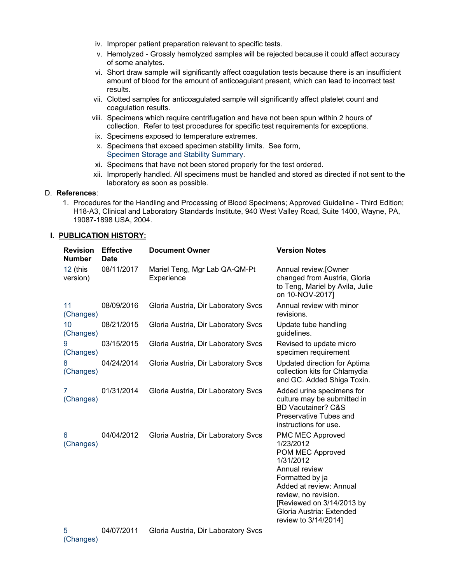- iv. Improper patient preparation relevant to specific tests.
- v. Hemolyzed Grossly hemolyzed samples will be rejected because it could affect accuracy of some analytes.
- vi. Short draw sample will significantly affect coagulation tests because there is an insufficient amount of blood for the amount of anticoagulant present, which can lead to incorrect test results.
- vii. Clotted samples for anticoagulated sample will significantly affect platelet count and coagulation results.
- viii. Specimens which require centrifugation and have not been spun within 2 hours of collection. Refer to test procedures for specific test requirements for exceptions.
- ix. Specimens exposed to temperature extremes.
- x. Specimens that exceed specimen stability limits. See form, Specimen Storage and Stability Summary.
- xi. Specimens that have not been stored properly for the test ordered.
- xii. Improperly handled. All specimens must be handled and stored as directed if not sent to the laboratory as soon as possible.

#### D. References:

1. Procedures for the Handling and Processing of Blood Specimens; Approved Guideline - Third Edition; H18-A3, Clinical and Laboratory Standards Institute, 940 West Valley Road, Suite 1400, Wayne, PA, 19087-1898 USA, 2004.

#### I. PUBLICATION HISTORY:

| <b>Revision</b><br><b>Number</b> | <b>Effective</b><br><b>Date</b> | <b>Document Owner</b>                       | <b>Version Notes</b>                                                                                                                                                                                                                          |
|----------------------------------|---------------------------------|---------------------------------------------|-----------------------------------------------------------------------------------------------------------------------------------------------------------------------------------------------------------------------------------------------|
| 12 (this<br>version)             | 08/11/2017                      | Mariel Teng, Mgr Lab QA-QM-Pt<br>Experience | Annual review.[Owner<br>changed from Austria, Gloria<br>to Teng, Mariel by Avila, Julie<br>on 10-NOV-2017]                                                                                                                                    |
| 11<br>(Changes)                  | 08/09/2016                      | Gloria Austria, Dir Laboratory Svcs         | Annual review with minor<br>revisions.                                                                                                                                                                                                        |
| 10<br>(Changes)                  | 08/21/2015                      | Gloria Austria, Dir Laboratory Svcs         | Update tube handling<br>guidelines.                                                                                                                                                                                                           |
| 9<br>(Changes)                   | 03/15/2015                      | Gloria Austria, Dir Laboratory Svcs         | Revised to update micro<br>specimen requirement                                                                                                                                                                                               |
| 8<br>(Changes)                   | 04/24/2014                      | Gloria Austria, Dir Laboratory Svcs         | <b>Updated direction for Aptima</b><br>collection kits for Chlamydia<br>and GC. Added Shiga Toxin.                                                                                                                                            |
| 7<br>(Changes)                   | 01/31/2014                      | Gloria Austria, Dir Laboratory Svcs         | Added urine specimens for<br>culture may be submitted in<br><b>BD Vacutainer? C&amp;S</b><br>Preservative Tubes and<br>instructions for use.                                                                                                  |
| 6<br>(Changes)                   | 04/04/2012                      | Gloria Austria, Dir Laboratory Svcs         | <b>PMC MEC Approved</b><br>1/23/2012<br>POM MEC Approved<br>1/31/2012<br>Annual review<br>Formatted by ja<br>Added at review: Annual<br>review, no revision.<br>[Reviewed on 3/14/2013 by<br>Gloria Austria: Extended<br>review to 3/14/2014] |
|                                  |                                 |                                             |                                                                                                                                                                                                                                               |

5 (Changes) 04/07/2011 Gloria Austria, Dir Laboratory Svcs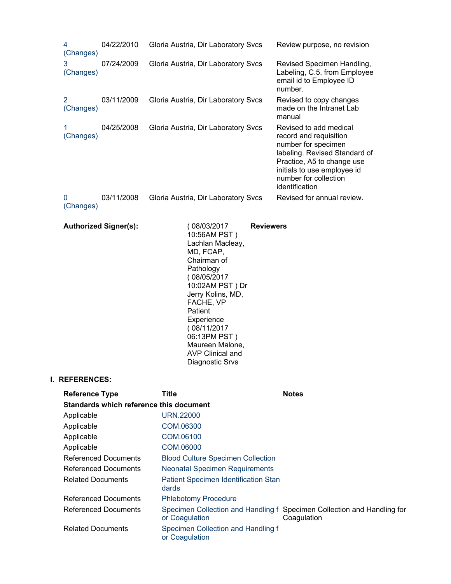| 4<br>(Changes)        | 04/22/2010 | Gloria Austria, Dir Laboratory Svcs | Review purpose, no revision                                                                                                                                                                                      |
|-----------------------|------------|-------------------------------------|------------------------------------------------------------------------------------------------------------------------------------------------------------------------------------------------------------------|
| 3<br>(Changes)        | 07/24/2009 | Gloria Austria, Dir Laboratory Svcs | Revised Specimen Handling,<br>Labeling, C.5. from Employee<br>email id to Employee ID<br>number.                                                                                                                 |
| 2<br>(Changes)        | 03/11/2009 | Gloria Austria, Dir Laboratory Svcs | Revised to copy changes<br>made on the Intranet Lab<br>manual                                                                                                                                                    |
| (Changes)             | 04/25/2008 | Gloria Austria, Dir Laboratory Svcs | Revised to add medical<br>record and requisition<br>number for specimen<br>labeling. Revised Standard of<br>Practice, A5 to change use<br>initials to use employee id<br>number for collection<br>identification |
| $\Omega$<br>(Changes) | 03/11/2008 | Gloria Austria, Dir Laboratory Svcs | Revised for annual review.                                                                                                                                                                                       |

| <b>Authorized Signer(s):</b> | (08/03/2017)<br>10:56AM PST)<br>Lachlan Macleay,<br>MD, FCAP,<br>Chairman of<br>Pathology<br>(08/05/2017<br>10:02AM PST) Dr<br>Jerry Kolins, MD,<br>FACHE, VP<br>Patient<br>Experience<br>(08/11/2017<br>06:13PM PST)<br>Maureen Malone,<br>AVP Clinical and<br>Diagnostic Srvs | <b>Reviewers</b> |
|------------------------------|---------------------------------------------------------------------------------------------------------------------------------------------------------------------------------------------------------------------------------------------------------------------------------|------------------|
|------------------------------|---------------------------------------------------------------------------------------------------------------------------------------------------------------------------------------------------------------------------------------------------------------------------------|------------------|

# I. REFERENCES:

| <b>Reference Type</b>                   | Title                                                | <b>Notes</b>                                                                           |  |
|-----------------------------------------|------------------------------------------------------|----------------------------------------------------------------------------------------|--|
| Standards which reference this document |                                                      |                                                                                        |  |
| Applicable                              | URN.22000                                            |                                                                                        |  |
| Applicable                              | COM.06300                                            |                                                                                        |  |
| Applicable                              | COM.06100                                            |                                                                                        |  |
| Applicable                              | COM.06000                                            |                                                                                        |  |
| <b>Referenced Documents</b>             | <b>Blood Culture Specimen Collection</b>             |                                                                                        |  |
| <b>Referenced Documents</b>             | <b>Neonatal Specimen Requirements</b>                |                                                                                        |  |
| <b>Related Documents</b>                | <b>Patient Specimen Identification Stan</b><br>dards |                                                                                        |  |
| <b>Referenced Documents</b>             | <b>Phlebotomy Procedure</b>                          |                                                                                        |  |
| <b>Referenced Documents</b>             | or Coagulation                                       | Specimen Collection and Handling f Specimen Collection and Handling for<br>Coagulation |  |
| <b>Related Documents</b>                | Specimen Collection and Handling f<br>or Coagulation |                                                                                        |  |